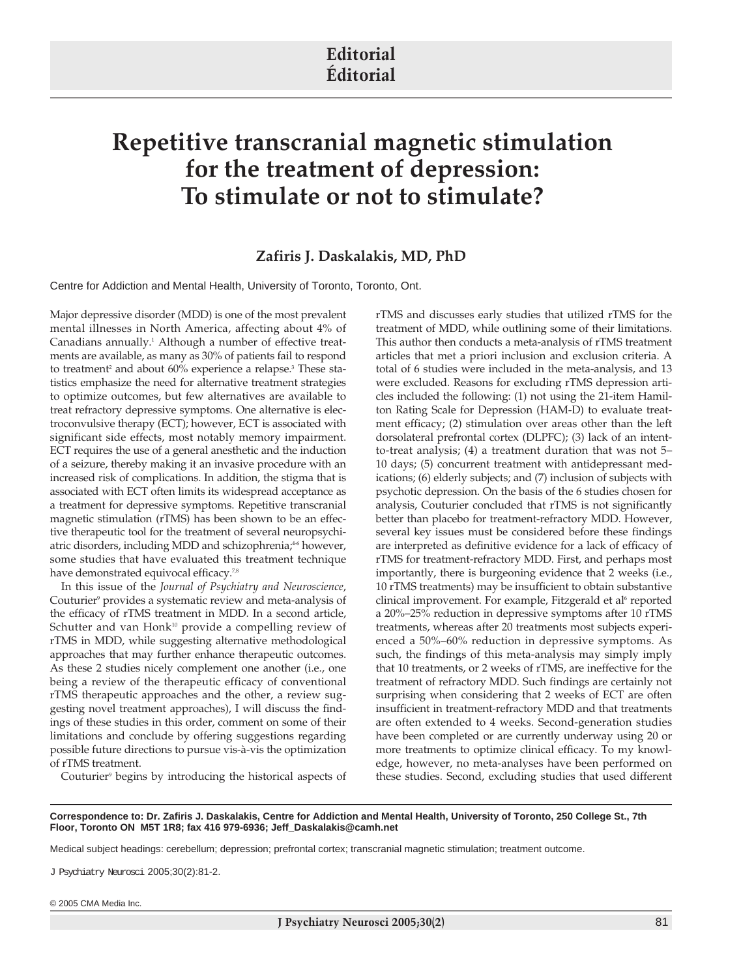# **Editorial Éditorial**

# **Repetitive transcranial magnetic stimulation for the treatment of depression: To stimulate or not to stimulate?**

## **Zafiris J. Daskalakis, MD, PhD**

Centre for Addiction and Mental Health, University of Toronto, Toronto, Ont.

Major depressive disorder (MDD) is one of the most prevalent mental illnesses in North America, affecting about 4% of Canadians annually.<sup>1</sup> Although a number of effective treatments are available, as many as 30% of patients fail to respond to treatment<sup>2</sup> and about 60% experience a relapse.<sup>3</sup> These statistics emphasize the need for alternative treatment strategies to optimize outcomes, but few alternatives are available to treat refractory depressive symptoms. One alternative is electroconvulsive therapy (ECT); however, ECT is associated with significant side effects, most notably memory impairment. ECT requires the use of a general anesthetic and the induction of a seizure, thereby making it an invasive procedure with an increased risk of complications. In addition, the stigma that is associated with ECT often limits its widespread acceptance as a treatment for depressive symptoms. Repetitive transcranial magnetic stimulation (rTMS) has been shown to be an effective therapeutic tool for the treatment of several neuropsychiatric disorders, including MDD and schizophrenia;<sup>46</sup> however, some studies that have evaluated this treatment technique have demonstrated equivocal efficacy.<sup>7,8</sup>

In this issue of the *Journal of Psychiatry and Neuroscience*, Couturier<sup>9</sup> provides a systematic review and meta-analysis of the efficacy of rTMS treatment in MDD. In a second article, Schutter and van Honk<sup>10</sup> provide a compelling review of rTMS in MDD, while suggesting alternative methodological approaches that may further enhance therapeutic outcomes. As these 2 studies nicely complement one another (i.e., one being a review of the therapeutic efficacy of conventional rTMS therapeutic approaches and the other, a review suggesting novel treatment approaches), I will discuss the findings of these studies in this order, comment on some of their limitations and conclude by offering suggestions regarding possible future directions to pursue vis-à-vis the optimization of rTMS treatment.

Couturier<sup>9</sup> begins by introducing the historical aspects of

rTMS and discusses early studies that utilized rTMS for the treatment of MDD, while outlining some of their limitations. This author then conducts a meta-analysis of rTMS treatment articles that met a priori inclusion and exclusion criteria. A total of 6 studies were included in the meta-analysis, and 13 were excluded. Reasons for excluding rTMS depression articles included the following: (1) not using the 21-item Hamilton Rating Scale for Depression (HAM-D) to evaluate treatment efficacy; (2) stimulation over areas other than the left dorsolateral prefrontal cortex (DLPFC); (3) lack of an intentto-treat analysis; (4) a treatment duration that was not 5– 10 days; (5) concurrent treatment with antidepressant medications; (6) elderly subjects; and (7) inclusion of subjects with psychotic depression. On the basis of the 6 studies chosen for analysis, Couturier concluded that rTMS is not significantly better than placebo for treatment-refractory MDD. However, several key issues must be considered before these findings are interpreted as definitive evidence for a lack of efficacy of rTMS for treatment-refractory MDD. First, and perhaps most importantly, there is burgeoning evidence that 2 weeks (i.e., 10 rTMS treatments) may be insufficient to obtain substantive clinical improvement. For example, Fitzgerald et al<sup>6</sup> reported a 20%–25% reduction in depressive symptoms after 10 rTMS treatments, whereas after 20 treatments most subjects experienced a 50%–60% reduction in depressive symptoms. As such, the findings of this meta-analysis may simply imply that 10 treatments, or 2 weeks of rTMS, are ineffective for the treatment of refractory MDD. Such findings are certainly not surprising when considering that 2 weeks of ECT are often insufficient in treatment-refractory MDD and that treatments are often extended to 4 weeks. Second-generation studies have been completed or are currently underway using 20 or more treatments to optimize clinical efficacy. To my knowledge, however, no meta-analyses have been performed on these studies. Second, excluding studies that used different

#### **Correspondence to: Dr. Zafiris J. Daskalakis, Centre for Addiction and Mental Health, University of Toronto, 250 College St., 7th Floor, Toronto ON M5T 1R8; fax 416 979-6936; Jeff\_Daskalakis@camh.net**

Medical subject headings: cerebellum; depression; prefrontal cortex; transcranial magnetic stimulation; treatment outcome.

J Psychiatry Neurosci 2005;30(2):81-2.

© 2005 CMA Media Inc.